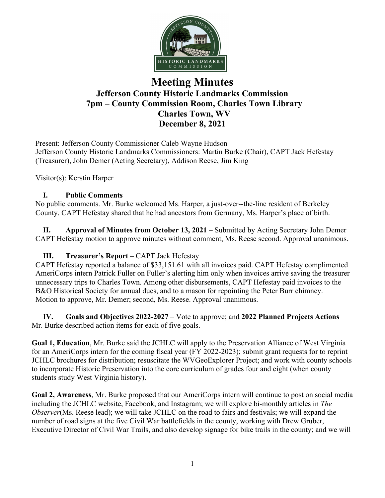

# **Meeting Minutes Jefferson County Historic Landmarks Commission 7pm – County Commission Room, Charles Town Library Charles Town, WV December 8, 2021**

Present: Jefferson County Commissioner Caleb Wayne Hudson Jefferson County Historic Landmarks Commissioners: Martin Burke (Chair), CAPT Jack Hefestay (Treasurer), John Demer (Acting Secretary), Addison Reese, Jim King

Visitor(s): Kerstin Harper

## **I. Public Comments**

No public comments. Mr. Burke welcomed Ms. Harper, a just-over--the-line resident of Berkeley County. CAPT Hefestay shared that he had ancestors from Germany, Ms. Harper's place of birth.

**II. Approval of Minutes from October 13, 2021** – Submitted by Acting Secretary John Demer CAPT Hefestay motion to approve minutes without comment, Ms. Reese second. Approval unanimous.

# **III. Treasurer's Report** – CAPT Jack Hefestay

CAPT Hefestay reported a balance of \$33,151.61 with all invoices paid. CAPT Hefestay complimented AmeriCorps intern Patrick Fuller on Fuller's alerting him only when invoices arrive saving the treasurer unnecessary trips to Charles Town. Among other disbursements, CAPT Hefestay paid invoices to the B&O Historical Society for annual dues, and to a mason for repointing the Peter Burr chimney. Motion to approve, Mr. Demer; second, Ms. Reese. Approval unanimous.

**IV. Goals and Objectives 2022-2027** – Vote to approve; and **2022 Planned Projects Actions** Mr. Burke described action items for each of five goals.

**Goal 1, Education**, Mr. Burke said the JCHLC will apply to the Preservation Alliance of West Virginia for an AmeriCorps intern for the coming fiscal year (FY 2022-2023); submit grant requests for to reprint JCHLC brochures for distribution; resuscitate the WVGeoExplorer Project; and work with county schools to incorporate Historic Preservation into the core curriculum of grades four and eight (when county students study West Virginia history).

**Goal 2, Awareness**, Mr. Burke proposed that our AmeriCorps intern will continue to post on social media including the JCHLC website, Facebook, and Instagram; we will explore bi-monthly articles in *The Observer*(Ms. Reese lead); we will take JCHLC on the road to fairs and festivals; we will expand the number of road signs at the five Civil War battlefields in the county, working with Drew Gruber, Executive Director of Civil War Trails, and also develop signage for bike trails in the county; and we will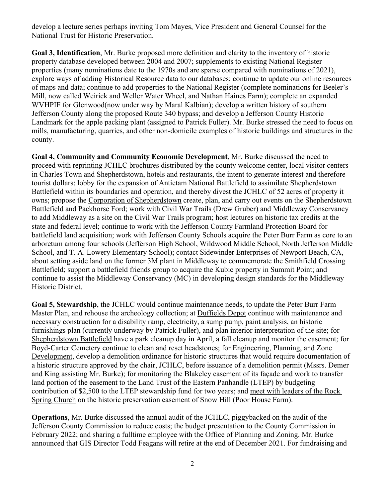develop a lecture series perhaps inviting Tom Mayes, Vice President and General Counsel for the National Trust for Historic Preservation.

**Goal 3, Identification**, Mr. Burke proposed more definition and clarity to the inventory of historic property database developed between 2004 and 2007; supplements to existing National Register properties (many nominations date to the 1970s and are sparse compared with nominations of 2021), explore ways of adding Historical Resource data to our databases; continue to update our online resources of maps and data; continue to add properties to the National Register (complete nominations for Beeler's Mill, now called Weirick and Weller Water Wheel, and Nathan Haines Farm); complete an expanded WVHPIF for Glenwood(now under way by Maral Kalbian); develop a written history of southern Jefferson County along the proposed Route 340 bypass; and develop a Jefferson County Historic Landmark for the apple packing plant (assigned to Patrick Fuller). Mr. Burke stressed the need to focus on mills, manufacturing, quarries, and other non-domicile examples of historic buildings and structures in the county.

**Goal 4, Community and Community Economic Development**, Mr. Burke discussed the need to proceed with reprinting JCHLC brochures distributed by the county welcome center, local visitor centers in Charles Town and Shepherdstown, hotels and restaurants, the intent to generate interest and therefore tourist dollars; lobby for the expansion of Antietam National Battlefield to assimilate Shepherdstown Battlefield within its boundaries and operation, and thereby divest the JCHLC of 52 acres of property it owns; propose the Corporation of Shepherdstown create, plan, and carry out events on the Shepherdstown Battlefield and Packhorse Ford; work with Civil War Trails (Drew Gruber) and Middleway Conservancy to add Middleway as a site on the Civil War Trails program; host lectures on historic tax credits at the state and federal level; continue to work with the Jefferson County Farmland Protection Board for battlefield land acquisition; work with Jefferson County Schools acquire the Peter Burr Farm as core to an arboretum among four schools (Jefferson High School, Wildwood Middle School, North Jefferson Middle School, and T. A. Lowery Elementary School); contact Sidewinder Enterprises of Newport Beach, CA, about setting aside land on the former 3M plant in Middleway to commemorate the Smithfield Crossing Battlefield; support a battlefield friends group to acquire the Kubic property in Summit Point; and continue to assist the Middleway Conservancy (MC) in developing design standards for the Middleway Historic District.

**Goal 5, Stewardship**, the JCHLC would continue maintenance needs, to update the Peter Burr Farm Master Plan, and rehouse the archeology collection; at Duffields Depot continue with maintenance and necessary construction for a disability ramp, electricity, a sump pump, paint analysis, an historic furnishings plan (currently underway by Patrick Fuller), and plan interior interpretation of the site; for Shepherdstown Battlefield have a park cleanup day in April, a fall cleanup and monitor the easement; for Boyd-Carter Cemetery continue to clean and reset headstones; for Engineering, Planning, and Zone Development, develop a demolition ordinance for historic structures that would require documentation of a historic structure approved by the chair, JCHLC, before issuance of a demolition permit (Mssrs. Demer and King assisting Mr. Burke); for monitoring the Blakeley easement of its façade and work to transfer land portion of the easement to the Land Trust of the Eastern Panhandle (LTEP) by budgeting contribution of \$2,500 to the LTEP stewardship fund for two years; and meet with leaders of the Rock Spring Church on the historic preservation easement of Snow Hill (Poor House Farm).

**Operations**, Mr. Burke discussed the annual audit of the JCHLC, piggybacked on the audit of the Jefferson County Commission to reduce costs; the budget presentation to the County Commission in February 2022; and sharing a fulltime employee with the Office of Planning and Zoning. Mr. Burke announced that GIS Director Todd Feagans will retire at the end of December 2021. For fundraising and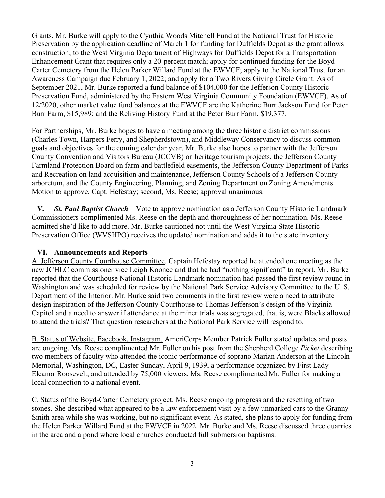Grants, Mr. Burke will apply to the Cynthia Woods Mitchell Fund at the National Trust for Historic Preservation by the application deadline of March 1 for funding for Duffields Depot as the grant allows construction; to the West Virginia Department of Highways for Duffields Depot for a Transportation Enhancement Grant that requires only a 20-percent match; apply for continued funding for the Boyd-Carter Cemetery from the Helen Parker Willard Fund at the EWVCF; apply to the National Trust for an Awareness Campaign due February 1, 2022; and apply for a Two Rivers Giving Circle Grant. As of September 2021, Mr. Burke reported a fund balance of \$104,000 for the Jefferson County Historic Preservation Fund, administered by the Eastern West Virginia Community Foundation (EWVCF). As of 12/2020, other market value fund balances at the EWVCF are the Katherine Burr Jackson Fund for Peter Burr Farm, \$15,989; and the Reliving History Fund at the Peter Burr Farm, \$19,377.

For Partnerships, Mr. Burke hopes to have a meeting among the three historic district commissions (Charles Town, Harpers Ferry, and Shepherdstown), and Middleway Conservancy to discuss common goals and objectives for the coming calendar year. Mr. Burke also hopes to partner with the Jefferson County Convention and Visitors Bureau (JCCVB) on heritage tourism projects, the Jefferson County Farmland Protection Board on farm and battlefield easements, the Jefferson County Department of Parks and Recreation on land acquisition and maintenance, Jefferson County Schools of a Jefferson County arboretum, and the County Engineering, Planning, and Zoning Department on Zoning Amendments. Motion to approve, Capt. Hefestay; second, Ms. Reese; approval unanimous.

 **V***. St. Paul Baptist Church –* Vote to approve nomination as a Jefferson County Historic Landmark Commissioners complimented Ms. Reese on the depth and thoroughness of her nomination. Ms. Reese admitted she'd like to add more. Mr. Burke cautioned not until the West Virginia State Historic Preservation Office (WVSHPO) receives the updated nomination and adds it to the state inventory.

## **VI. Announcements and Reports**

A. Jefferson County Courthouse Committee. Captain Hefestay reported he attended one meeting as the new JCHLC commissioner vice Leigh Koonce and that he had "nothing significant" to report. Mr. Burke reported that the Courthouse National Historic Landmark nomination had passed the first review round in Washington and was scheduled for review by the National Park Service Advisory Committee to the U. S. Department of the Interior. Mr. Burke said two comments in the first review were a need to attribute design inspiration of the Jefferson County Courthouse to Thomas Jefferson's design of the Virginia Capitol and a need to answer if attendance at the miner trials was segregated, that is, were Blacks allowed to attend the trials? That question researchers at the National Park Service will respond to.

B. Status of Website, Facebook, Instagram. AmeriCorps Member Patrick Fuller stated updates and posts are ongoing. Ms. Reese complimented Mr. Fuller on his post from the Shepherd College *Picket* describing two members of faculty who attended the iconic performance of soprano Marian Anderson at the Lincoln Memorial, Washington, DC, Easter Sunday, April 9, 1939, a performance organized by First Lady Eleanor Roosevelt, and attended by 75,000 viewers. Ms. Reese complimented Mr. Fuller for making a local connection to a national event.

C. Status of the Boyd-Carter Cemetery project. Ms. Reese ongoing progress and the resetting of two stones. She described what appeared to be a law enforcement visit by a few unmarked cars to the Granny Smith area while she was working, but no significant event. As stated, she plans to apply for funding from the Helen Parker Willard Fund at the EWVCF in 2022. Mr. Burke and Ms. Reese discussed three quarries in the area and a pond where local churches conducted full submersion baptisms.